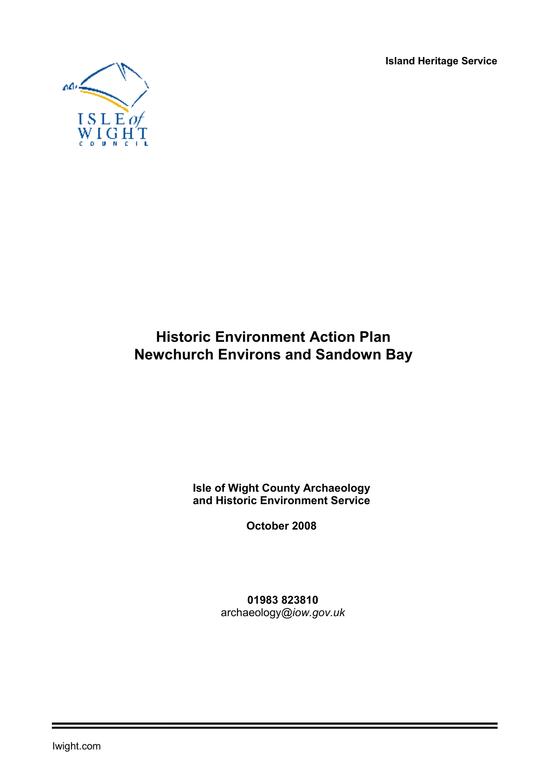**Island Heritage Service** 



# **Historic Environment Action Plan Newchurch Environs and Sandown Bay**

**Isle of Wight County Archaeology and Historic Environment Service** 

**October 2008** 

**01983 823810** archaeology*@iow.gov.uk*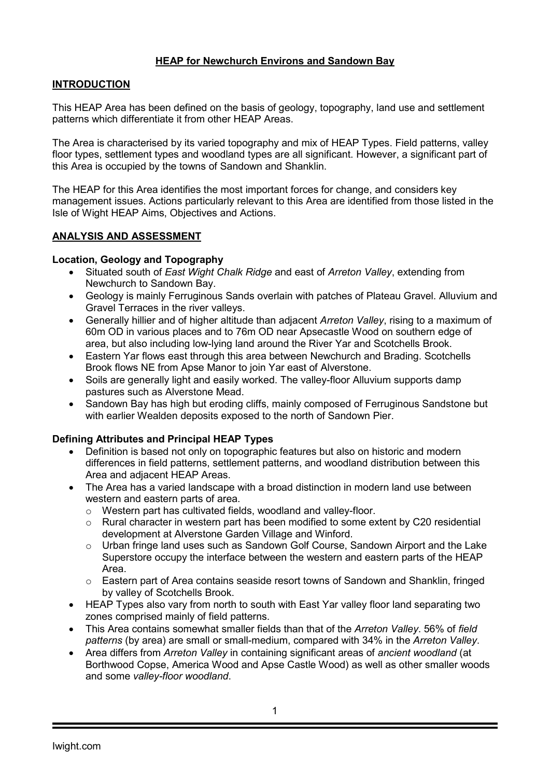# **HEAP for Newchurch Environs and Sandown Bay**

# **INTRODUCTION**

This HEAP Area has been defined on the basis of geology, topography, land use and settlement patterns which differentiate it from other HEAP Areas.

The Area is characterised by its varied topography and mix of HEAP Types. Field patterns, valley floor types, settlement types and woodland types are all significant. However, a significant part of this Area is occupied by the towns of Sandown and Shanklin.

The HEAP for this Area identifies the most important forces for change, and considers key management issues. Actions particularly relevant to this Area are identified from those listed in the Isle of Wight HEAP Aims, Objectives and Actions.

## **ANALYSIS AND ASSESSMENT**

## **Location, Geology and Topography**

- Situated south of *East Wight Chalk Ridge* and east of *Arreton Valley*, extending from Newchurch to Sandown Bay.
- Geology is mainly Ferruginous Sands overlain with patches of Plateau Gravel. Alluvium and Gravel Terraces in the river valleys.
- Generally hillier and of higher altitude than adjacent *Arreton Valley*, rising to a maximum of 60m OD in various places and to 76m OD near Apsecastle Wood on southern edge of area, but also including low-lying land around the River Yar and Scotchells Brook.
- Eastern Yar flows east through this area between Newchurch and Brading. Scotchells Brook flows NE from Apse Manor to join Yar east of Alverstone.
- Soils are generally light and easily worked. The valley-floor Alluvium supports damp pastures such as Alverstone Mead.
- Sandown Bay has high but eroding cliffs, mainly composed of Ferruginous Sandstone but with earlier Wealden deposits exposed to the north of Sandown Pier.

#### **Defining Attributes and Principal HEAP Types**

- Definition is based not only on topographic features but also on historic and modern differences in field patterns, settlement patterns, and woodland distribution between this Area and adjacent HEAP Areas.
- The Area has a varied landscape with a broad distinction in modern land use between western and eastern parts of area.
	- o Western part has cultivated fields, woodland and valley-floor.
	- o Rural character in western part has been modified to some extent by C20 residential development at Alverstone Garden Village and Winford.
	- o Urban fringe land uses such as Sandown Golf Course, Sandown Airport and the Lake Superstore occupy the interface between the western and eastern parts of the HEAP Area.
	- o Eastern part of Area contains seaside resort towns of Sandown and Shanklin, fringed by valley of Scotchells Brook.
- HEAP Types also vary from north to south with East Yar valley floor land separating two zones comprised mainly of field patterns.
- This Area contains somewhat smaller fields than that of the *Arreton Valley*. 56% of *field patterns* (by area) are small or small-medium, compared with 34% in the *Arreton Valley*.
- Area differs from *Arreton Valley* in containing significant areas of *ancient woodland* (at Borthwood Copse, America Wood and Apse Castle Wood) as well as other smaller woods and some *valley-floor woodland*.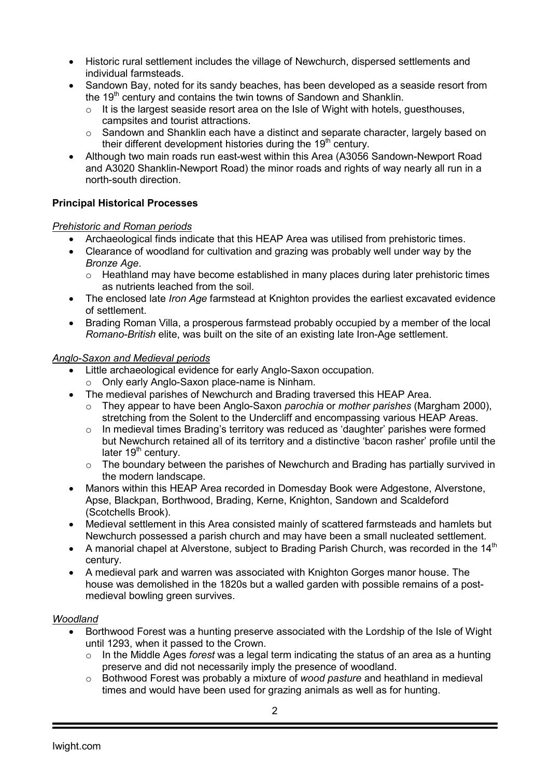- Historic rural settlement includes the village of Newchurch, dispersed settlements and individual farmsteads.
- Sandown Bay, noted for its sandy beaches, has been developed as a seaside resort from the 19<sup>th</sup> century and contains the twin towns of Sandown and Shanklin.
	- $\circ$  It is the largest seaside resort area on the Isle of Wight with hotels, guesthouses, campsites and tourist attractions.
	- o Sandown and Shanklin each have a distinct and separate character, largely based on their different development histories during the 19<sup>th</sup> century.
- Although two main roads run east-west within this Area (A3056 Sandown-Newport Road and A3020 Shanklin-Newport Road) the minor roads and rights of way nearly all run in a north-south direction.

# **Principal Historical Processes**

## *Prehistoric and Roman periods*

- Archaeological finds indicate that this HEAP Area was utilised from prehistoric times.
- Clearance of woodland for cultivation and grazing was probably well under way by the *Bronze Age*.
	- $\circ$  Heathland may have become established in many places during later prehistoric times as nutrients leached from the soil.
- The enclosed late *Iron Age* farmstead at Knighton provides the earliest excavated evidence of settlement.
- Brading Roman Villa, a prosperous farmstead probably occupied by a member of the local *Romano-British* elite, was built on the site of an existing late Iron-Age settlement.

## *Anglo-Saxon and Medieval periods*

- Little archaeological evidence for early Anglo-Saxon occupation.
- o Only early Anglo-Saxon place-name is Ninham.
- The medieval parishes of Newchurch and Brading traversed this HEAP Area.
	- o They appear to have been Anglo-Saxon *parochia* or *mother parishes* (Margham 2000), stretching from the Solent to the Undercliff and encompassing various HEAP Areas.
	- o In medieval times Brading's territory was reduced as 'daughter' parishes were formed but Newchurch retained all of its territory and a distinctive 'bacon rasher' profile until the later  $19<sup>th</sup>$  century.
	- $\circ$  The boundary between the parishes of Newchurch and Brading has partially survived in the modern landscape.
- Manors within this HEAP Area recorded in Domesday Book were Adgestone, Alverstone, Apse, Blackpan, Borthwood, Brading, Kerne, Knighton, Sandown and Scaldeford (Scotchells Brook).
- Medieval settlement in this Area consisted mainly of scattered farmsteads and hamlets but Newchurch possessed a parish church and may have been a small nucleated settlement.
- A manorial chapel at Alverstone, subject to Brading Parish Church, was recorded in the  $14<sup>th</sup>$ century.
- A medieval park and warren was associated with Knighton Gorges manor house. The house was demolished in the 1820s but a walled garden with possible remains of a postmedieval bowling green survives.

#### *Woodland*

- Borthwood Forest was a hunting preserve associated with the Lordship of the Isle of Wight until 1293, when it passed to the Crown.
	- o In the Middle Ages *forest* was a legal term indicating the status of an area as a hunting preserve and did not necessarily imply the presence of woodland.
	- o Bothwood Forest was probably a mixture of *wood pasture* and heathland in medieval times and would have been used for grazing animals as well as for hunting.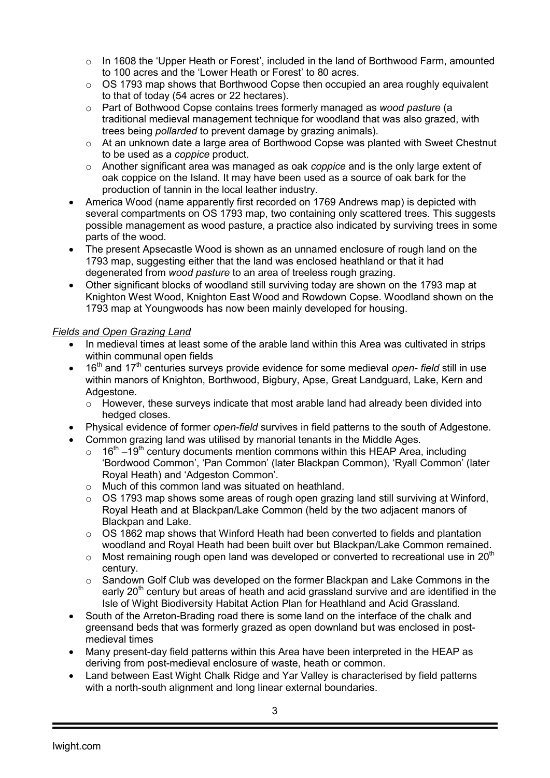- $\circ$  In 1608 the 'Upper Heath or Forest', included in the land of Borthwood Farm, amounted to 100 acres and the 'Lower Heath or Forest' to 80 acres.
- $\circ$  OS 1793 map shows that Borthwood Copse then occupied an area roughly equivalent to that of today (54 acres or 22 hectares).
- o Part of Bothwood Copse contains trees formerly managed as *wood pasture* (a traditional medieval management technique for woodland that was also grazed, with trees being *pollarded* to prevent damage by grazing animals).
- $\circ$  At an unknown date a large area of Borthwood Copse was planted with Sweet Chestnut to be used as a *coppice* product.
- o Another significant area was managed as oak *coppice* and is the only large extent of oak coppice on the Island. It may have been used as a source of oak bark for the production of tannin in the local leather industry.
- America Wood (name apparently first recorded on 1769 Andrews map) is depicted with several compartments on OS 1793 map, two containing only scattered trees. This suggests possible management as wood pasture, a practice also indicated by surviving trees in some parts of the wood.
- The present Apsecastle Wood is shown as an unnamed enclosure of rough land on the 1793 map, suggesting either that the land was enclosed heathland or that it had degenerated from *wood pasture* to an area of treeless rough grazing.
- Other significant blocks of woodland still surviving today are shown on the 1793 map at Knighton West Wood, Knighton East Wood and Rowdown Copse. Woodland shown on the 1793 map at Youngwoods has now been mainly developed for housing.

# *Fields and Open Grazing Land*

- In medieval times at least some of the arable land within this Area was cultivated in strips within communal open fields
- 16<sup>th</sup> and 17<sup>th</sup> centuries surveys provide evidence for some medieval *open-field* still in use within manors of Knighton, Borthwood, Bigbury, Apse, Great Landguard, Lake, Kern and Adgestone.
	- o However, these surveys indicate that most arable land had already been divided into hedged closes.
- Physical evidence of former *open-field* survives in field patterns to the south of Adgestone.
- Common grazing land was utilised by manorial tenants in the Middle Ages.
	- $\circ$  16<sup>th</sup> –19<sup>th</sup> century documents mention commons within this HEAP Area, including 'Bordwood Common', 'Pan Common' (later Blackpan Common), 'Ryall Common' (later Royal Heath) and 'Adgeston Common'.
	- o Much of this common land was situated on heathland.
	- $\circ$  OS 1793 map shows some areas of rough open grazing land still surviving at Winford, Royal Heath and at Blackpan/Lake Common (held by the two adjacent manors of Blackpan and Lake.
	- o OS 1862 map shows that Winford Heath had been converted to fields and plantation woodland and Royal Heath had been built over but Blackpan/Lake Common remained.
	- $\circ$  Most remaining rough open land was developed or converted to recreational use in 20<sup>th</sup> century.
	- o Sandown Golf Club was developed on the former Blackpan and Lake Commons in the early 20<sup>th</sup> century but areas of heath and acid grassland survive and are identified in the Isle of Wight Biodiversity Habitat Action Plan for Heathland and Acid Grassland.
- South of the Arreton-Brading road there is some land on the interface of the chalk and greensand beds that was formerly grazed as open downland but was enclosed in postmedieval times
- Many present-day field patterns within this Area have been interpreted in the HEAP as deriving from post-medieval enclosure of waste, heath or common.
- Land between East Wight Chalk Ridge and Yar Valley is characterised by field patterns with a north-south alignment and long linear external boundaries.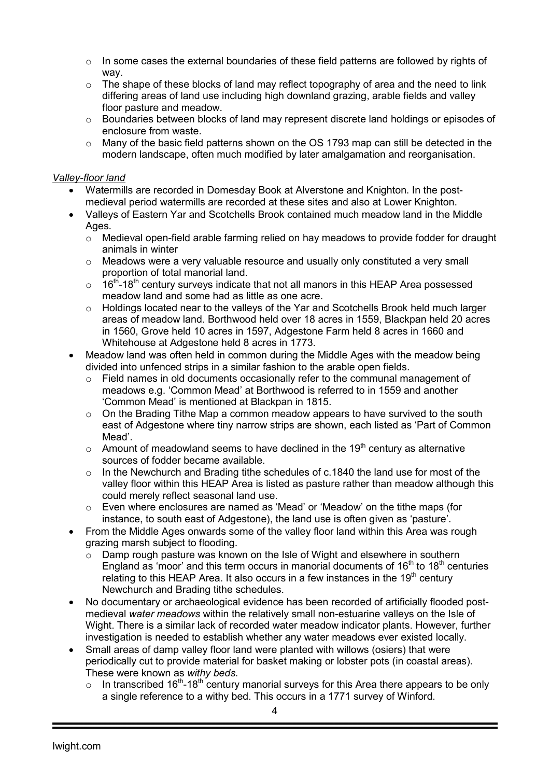- $\circ$  In some cases the external boundaries of these field patterns are followed by rights of way.
- o The shape of these blocks of land may reflect topography of area and the need to link differing areas of land use including high downland grazing, arable fields and valley floor pasture and meadow.
- o Boundaries between blocks of land may represent discrete land holdings or episodes of enclosure from waste.
- $\circ$  Many of the basic field patterns shown on the OS 1793 map can still be detected in the modern landscape, often much modified by later amalgamation and reorganisation.

## *Valley-floor land*

- Watermills are recorded in Domesday Book at Alverstone and Knighton. In the postmedieval period watermills are recorded at these sites and also at Lower Knighton.
- Valleys of Eastern Yar and Scotchells Brook contained much meadow land in the Middle Ages.
	- o Medieval open-field arable farming relied on hay meadows to provide fodder for draught animals in winter
	- $\circ$  Meadows were a very valuable resource and usually only constituted a very small proportion of total manorial land.
	- $\circ$  16<sup>th</sup>-18<sup>th</sup> century surveys indicate that not all manors in this HEAP Area possessed meadow land and some had as little as one acre.
	- o Holdings located near to the valleys of the Yar and Scotchells Brook held much larger areas of meadow land. Borthwood held over 18 acres in 1559, Blackpan held 20 acres in 1560, Grove held 10 acres in 1597, Adgestone Farm held 8 acres in 1660 and Whitehouse at Adgestone held 8 acres in 1773.
- Meadow land was often held in common during the Middle Ages with the meadow being divided into unfenced strips in a similar fashion to the arable open fields.
	- o Field names in old documents occasionally refer to the communal management of meadows e.g. 'Common Mead' at Borthwood is referred to in 1559 and another 'Common Mead' is mentioned at Blackpan in 1815.
	- $\circ$  On the Brading Tithe Map a common meadow appears to have survived to the south east of Adgestone where tiny narrow strips are shown, each listed as 'Part of Common Mead'.
	- $\circ$  Amount of meadowland seems to have declined in the 19<sup>th</sup> century as alternative sources of fodder became available.
	- o In the Newchurch and Brading tithe schedules of c.1840 the land use for most of the valley floor within this HEAP Area is listed as pasture rather than meadow although this could merely reflect seasonal land use.
	- o Even where enclosures are named as 'Mead' or 'Meadow' on the tithe maps (for instance, to south east of Adgestone), the land use is often given as 'pasture'.
- From the Middle Ages onwards some of the valley floor land within this Area was rough grazing marsh subject to flooding.
	- $\circ$  Damp rough pasture was known on the Isle of Wight and elsewhere in southern England as 'moor' and this term occurs in manorial documents of  $16<sup>th</sup>$  to  $18<sup>th</sup>$  centuries relating to this HEAP Area. It also occurs in a few instances in the 19<sup>th</sup> century Newchurch and Brading tithe schedules.
- No documentary or archaeological evidence has been recorded of artificially flooded postmedieval *water meadows* within the relatively small non-estuarine valleys on the Isle of Wight. There is a similar lack of recorded water meadow indicator plants. However, further investigation is needed to establish whether any water meadows ever existed locally.
- Small areas of damp valley floor land were planted with willows (osiers) that were periodically cut to provide material for basket making or lobster pots (in coastal areas). These were known as *withy beds*.
	- $\circ$  In transcribed 16<sup>th</sup>-18<sup>th</sup> century manorial surveys for this Area there appears to be only a single reference to a withy bed. This occurs in a 1771 survey of Winford.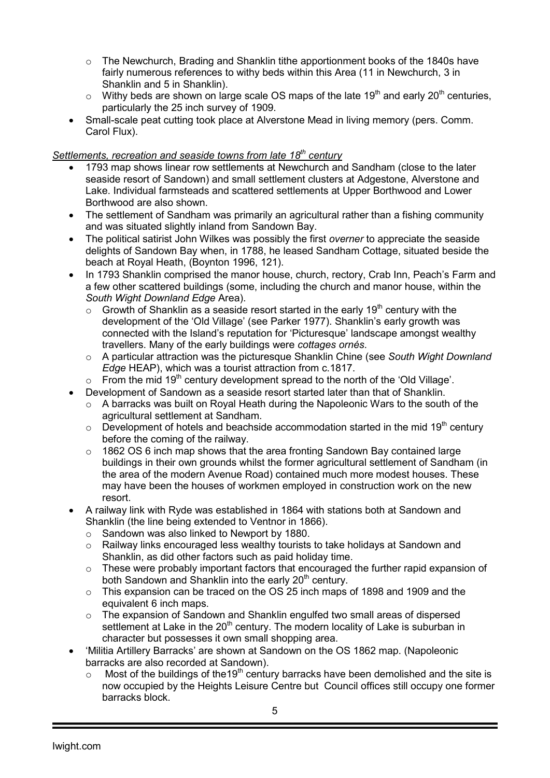- $\circ$  The Newchurch, Brading and Shanklin tithe apportionment books of the 1840s have fairly numerous references to withy beds within this Area (11 in Newchurch, 3 in Shanklin and 5 in Shanklin).
- $\circ$  Withy beds are shown on large scale OS maps of the late 19<sup>th</sup> and early 20<sup>th</sup> centuries, particularly the 25 inch survey of 1909.
- Small-scale peat cutting took place at Alverstone Mead in living memory (pers. Comm. Carol Flux).

## *Settlements, recreation and seaside towns from late 18th century*

- 1793 map shows linear row settlements at Newchurch and Sandham (close to the later seaside resort of Sandown) and small settlement clusters at Adgestone, Alverstone and Lake. Individual farmsteads and scattered settlements at Upper Borthwood and Lower Borthwood are also shown.
- The settlement of Sandham was primarily an agricultural rather than a fishing community and was situated slightly inland from Sandown Bay.
- The political satirist John Wilkes was possibly the first *overner* to appreciate the seaside delights of Sandown Bay when, in 1788, he leased Sandham Cottage, situated beside the beach at Royal Heath, (Boynton 1996, 121).
- In 1793 Shanklin comprised the manor house, church, rectory, Crab Inn, Peach's Farm and a few other scattered buildings (some, including the church and manor house, within the *South Wight Downland Edge* Area).
	- $\circ$  Growth of Shanklin as a seaside resort started in the early 19<sup>th</sup> century with the development of the 'Old Village' (see Parker 1977). Shanklin's early growth was connected with the Island's reputation for 'Picturesque' landscape amongst wealthy travellers. Many of the early buildings were *cottages ornés*.
	- o A particular attraction was the picturesque Shanklin Chine (see *South Wight Downland Edge* HEAP), which was a tourist attraction from c.1817.
	- $\circ$  From the mid 19<sup>th</sup> century development spread to the north of the 'Old Village'.
- Development of Sandown as a seaside resort started later than that of Shanklin.
	- $\circ$  A barracks was built on Roval Heath during the Napoleonic Wars to the south of the agricultural settlement at Sandham.
	- $\circ$  Development of hotels and beachside accommodation started in the mid 19<sup>th</sup> century before the coming of the railway.
	- $\circ$  1862 OS 6 inch map shows that the area fronting Sandown Bay contained large buildings in their own grounds whilst the former agricultural settlement of Sandham (in the area of the modern Avenue Road) contained much more modest houses. These may have been the houses of workmen employed in construction work on the new resort.
- A railway link with Ryde was established in 1864 with stations both at Sandown and Shanklin (the line being extended to Ventnor in 1866).
	- o Sandown was also linked to Newport by 1880.
	- o Railway links encouraged less wealthy tourists to take holidays at Sandown and Shanklin, as did other factors such as paid holiday time.
	- $\circ$  These were probably important factors that encouraged the further rapid expansion of both Sandown and Shanklin into the early  $20<sup>th</sup>$  century.
	- o This expansion can be traced on the OS 25 inch maps of 1898 and 1909 and the equivalent 6 inch maps.
	- o The expansion of Sandown and Shanklin engulfed two small areas of dispersed settlement at Lake in the  $20<sup>th</sup>$  century. The modern locality of Lake is suburban in character but possesses it own small shopping area.
- 'Militia Artillery Barracks' are shown at Sandown on the OS 1862 map. (Napoleonic barracks are also recorded at Sandown).
	- $\circ$  Most of the buildings of the 19<sup>th</sup> century barracks have been demolished and the site is now occupied by the Heights Leisure Centre but Council offices still occupy one former barracks block.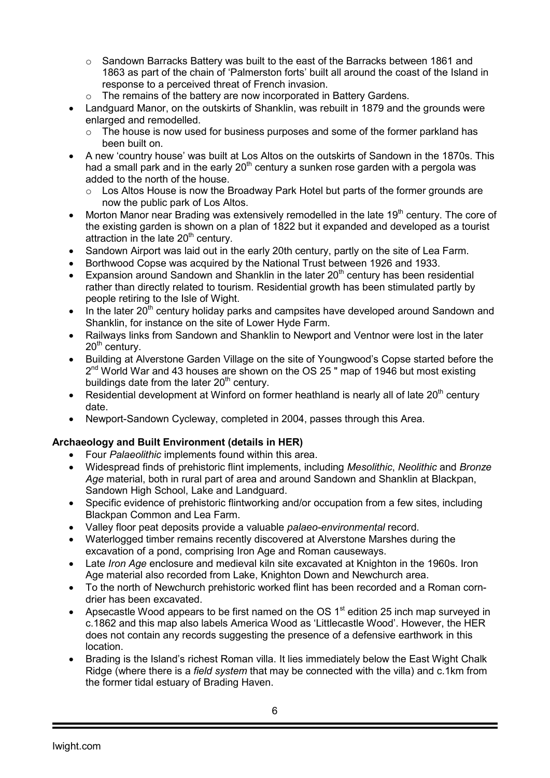- $\circ$  Sandown Barracks Battery was built to the east of the Barracks between 1861 and 1863 as part of the chain of 'Palmerston forts' built all around the coast of the Island in response to a perceived threat of French invasion.
- o The remains of the battery are now incorporated in Battery Gardens.
- Landguard Manor, on the outskirts of Shanklin, was rebuilt in 1879 and the grounds were enlarged and remodelled.
	- $\circ$  The house is now used for business purposes and some of the former parkland has been built on.
- A new 'country house' was built at Los Altos on the outskirts of Sandown in the 1870s. This had a small park and in the early  $20<sup>th</sup>$  century a sunken rose garden with a pergola was added to the north of the house.
	- o Los Altos House is now the Broadway Park Hotel but parts of the former grounds are now the public park of Los Altos.
- Morton Manor near Brading was extensively remodelled in the late  $19<sup>th</sup>$  century. The core of the existing garden is shown on a plan of 1822 but it expanded and developed as a tourist attraction in the late  $20<sup>th</sup>$  century.
- Sandown Airport was laid out in the early 20th century, partly on the site of Lea Farm.
- Borthwood Copse was acquired by the National Trust between 1926 and 1933.
- Expansion around Sandown and Shanklin in the later  $20<sup>th</sup>$  century has been residential rather than directly related to tourism. Residential growth has been stimulated partly by people retiring to the Isle of Wight.
- In the later  $20<sup>th</sup>$  century holiday parks and campsites have developed around Sandown and Shanklin, for instance on the site of Lower Hyde Farm.
- Railways links from Sandown and Shanklin to Newport and Ventnor were lost in the later  $20<sup>th</sup>$  century.
- Building at Alverstone Garden Village on the site of Youngwood's Copse started before the 2<sup>nd</sup> World War and 43 houses are shown on the OS 25 " map of 1946 but most existing buildings date from the later  $20<sup>th</sup>$  century.
- Residential development at Winford on former heathland is nearly all of late  $20<sup>th</sup>$  century date.
- Newport-Sandown Cycleway, completed in 2004, passes through this Area.

#### **Archaeology and Built Environment (details in HER)**

- Four *Palaeolithic* implements found within this area.
- Widespread finds of prehistoric flint implements, including *Mesolithic*, *Neolithic* and *Bronze Age* material, both in rural part of area and around Sandown and Shanklin at Blackpan, Sandown High School, Lake and Landguard.
- Specific evidence of prehistoric flintworking and/or occupation from a few sites, including Blackpan Common and Lea Farm.
- Valley floor peat deposits provide a valuable *palaeo-environmental* record.
- Waterlogged timber remains recently discovered at Alverstone Marshes during the excavation of a pond, comprising Iron Age and Roman causeways.
- Late *Iron Age* enclosure and medieval kiln site excavated at Knighton in the 1960s. Iron Age material also recorded from Lake, Knighton Down and Newchurch area.
- To the north of Newchurch prehistoric worked flint has been recorded and a Roman corndrier has been excavated.
- Apsecastle Wood appears to be first named on the OS  $1<sup>st</sup>$  edition 25 inch map surveyed in c.1862 and this map also labels America Wood as 'Littlecastle Wood'. However, the HER does not contain any records suggesting the presence of a defensive earthwork in this location.
- Brading is the Island's richest Roman villa. It lies immediately below the East Wight Chalk Ridge (where there is a *field system* that may be connected with the villa) and c.1km from the former tidal estuary of Brading Haven.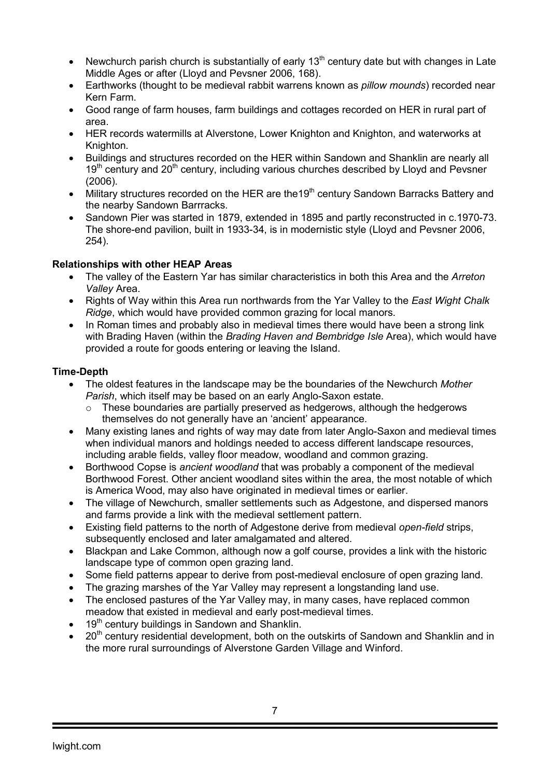- Newchurch parish church is substantially of early  $13<sup>th</sup>$  century date but with changes in Late Middle Ages or after (Lloyd and Pevsner 2006, 168).
- Earthworks (thought to be medieval rabbit warrens known as *pillow mounds*) recorded near Kern Farm.
- Good range of farm houses, farm buildings and cottages recorded on HER in rural part of area.
- HER records watermills at Alverstone, Lower Knighton and Knighton, and waterworks at Knighton.
- Buildings and structures recorded on the HER within Sandown and Shanklin are nearly all  $19<sup>th</sup>$  century and 20<sup>th</sup> century, including various churches described by Lloyd and Pevsner (2006).
- Military structures recorded on the HER are the19<sup>th</sup> century Sandown Barracks Battery and the nearby Sandown Barrracks.
- Sandown Pier was started in 1879, extended in 1895 and partly reconstructed in c.1970-73. The shore-end pavilion, built in 1933-34, is in modernistic style (Lloyd and Pevsner 2006, 254).

## **Relationships with other HEAP Areas**

- The valley of the Eastern Yar has similar characteristics in both this Area and the *Arreton Valley* Area.
- Rights of Way within this Area run northwards from the Yar Valley to the *East Wight Chalk Ridge*, which would have provided common grazing for local manors.
- In Roman times and probably also in medieval times there would have been a strong link with Brading Haven (within the *Brading Haven and Bembridge Isle* Area), which would have provided a route for goods entering or leaving the Island.

## **Time-Depth**

- The oldest features in the landscape may be the boundaries of the Newchurch *Mother Parish*, which itself may be based on an early Anglo-Saxon estate.
	- $\circ$  These boundaries are partially preserved as hedgerows, although the hedgerows themselves do not generally have an 'ancient' appearance.
- Many existing lanes and rights of way may date from later Anglo-Saxon and medieval times when individual manors and holdings needed to access different landscape resources, including arable fields, valley floor meadow, woodland and common grazing.
- Borthwood Copse is *ancient woodland* that was probably a component of the medieval Borthwood Forest. Other ancient woodland sites within the area, the most notable of which is America Wood, may also have originated in medieval times or earlier.
- The village of Newchurch, smaller settlements such as Adgestone, and dispersed manors and farms provide a link with the medieval settlement pattern.
- Existing field patterns to the north of Adgestone derive from medieval *open-field* strips, subsequently enclosed and later amalgamated and altered.
- Blackpan and Lake Common, although now a golf course, provides a link with the historic landscape type of common open grazing land.
- Some field patterns appear to derive from post-medieval enclosure of open grazing land.
- The grazing marshes of the Yar Valley may represent a longstanding land use.
- The enclosed pastures of the Yar Valley may, in many cases, have replaced common meadow that existed in medieval and early post-medieval times.
- 19<sup>th</sup> century buildings in Sandown and Shanklin.
- $\bullet$  20<sup>th</sup> century residential development, both on the outskirts of Sandown and Shanklin and in the more rural surroundings of Alverstone Garden Village and Winford.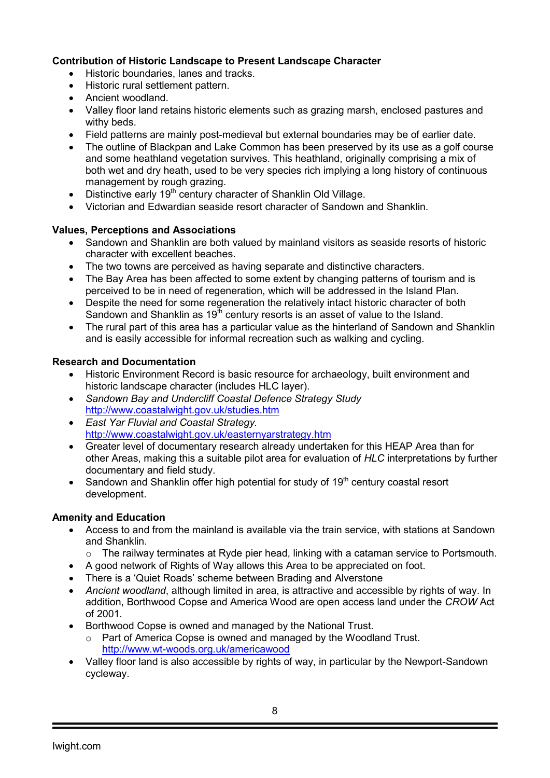# **Contribution of Historic Landscape to Present Landscape Character**

- Historic boundaries, lanes and tracks.
- Historic rural settlement pattern.
- Ancient woodland.
- Valley floor land retains historic elements such as grazing marsh, enclosed pastures and withy beds.
- Field patterns are mainly post-medieval but external boundaries may be of earlier date.
- The outline of Blackpan and Lake Common has been preserved by its use as a golf course and some heathland vegetation survives. This heathland, originally comprising a mix of both wet and dry heath, used to be very species rich implying a long history of continuous management by rough grazing.
- Distinctive early  $19<sup>th</sup>$  century character of Shanklin Old Village.
- Victorian and Edwardian seaside resort character of Sandown and Shanklin.

# **Values, Perceptions and Associations**

- Sandown and Shanklin are both valued by mainland visitors as seaside resorts of historic character with excellent beaches.
- The two towns are perceived as having separate and distinctive characters.
- The Bay Area has been affected to some extent by changing patterns of tourism and is perceived to be in need of regeneration, which will be addressed in the Island Plan.
- Despite the need for some regeneration the relatively intact historic character of both Sandown and Shanklin as  $19<sup>th</sup>$  century resorts is an asset of value to the Island.
- The rural part of this area has a particular value as the hinterland of Sandown and Shanklin and is easily accessible for informal recreation such as walking and cycling.

# **Research and Documentation**

- Historic Environment Record is basic resource for archaeology, built environment and historic landscape character (includes HLC layer).
- *Sandown Bay and Undercliff Coastal Defence Strategy Study* http://www.coastalwight.gov.uk/studies.htm
- *East Yar Fluvial and Coastal Strategy.* http://www.coastalwight.gov.uk/easternyarstrategy.htm
- Greater level of documentary research already undertaken for this HEAP Area than for other Areas, making this a suitable pilot area for evaluation of *HLC* interpretations by further documentary and field study.
- Sandown and Shanklin offer high potential for study of  $19<sup>th</sup>$  century coastal resort development.

# **Amenity and Education**

- Access to and from the mainland is available via the train service, with stations at Sandown and Shanklin.
	- o The railway terminates at Ryde pier head, linking with a cataman service to Portsmouth.
- A good network of Rights of Way allows this Area to be appreciated on foot.
- There is a 'Quiet Roads' scheme between Brading and Alverstone
- *Ancient woodland*, although limited in area, is attractive and accessible by rights of way. In addition, Borthwood Copse and America Wood are open access land under the *CROW* Act of 2001.
- Borthwood Copse is owned and managed by the National Trust.
	- o Part of America Copse is owned and managed by the Woodland Trust. http://www.wt-woods.org.uk/americawood
- Valley floor land is also accessible by rights of way, in particular by the Newport-Sandown cycleway.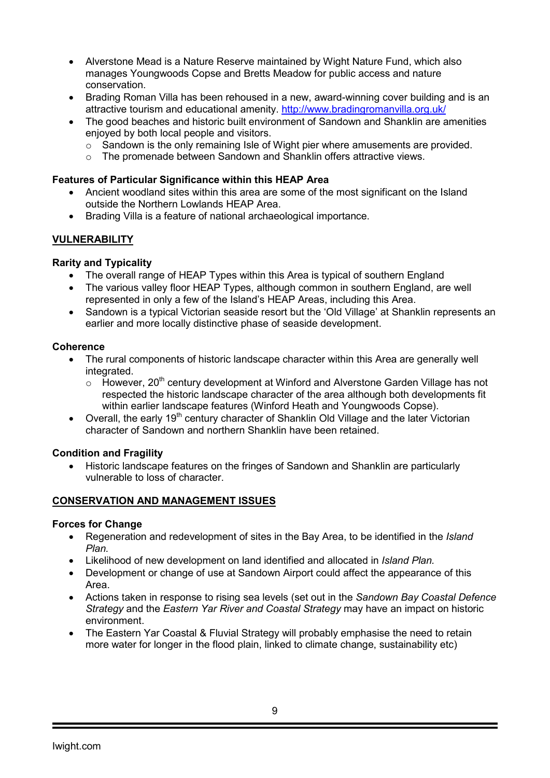- Alverstone Mead is a Nature Reserve maintained by Wight Nature Fund, which also manages Youngwoods Copse and Bretts Meadow for public access and nature conservation.
- Brading Roman Villa has been rehoused in a new, award-winning cover building and is an attractive tourism and educational amenity. http://www.bradingromanvilla.org.uk/
- The good beaches and historic built environment of Sandown and Shanklin are amenities enjoyed by both local people and visitors.
	- $\circ$  Sandown is the only remaining Isle of Wight pier where amusements are provided.
	- o The promenade between Sandown and Shanklin offers attractive views.

#### **Features of Particular Significance within this HEAP Area**

- Ancient woodland sites within this area are some of the most significant on the Island outside the Northern Lowlands HEAP Area.
- Brading Villa is a feature of national archaeological importance.

## **VULNERABILITY**

## **Rarity and Typicality**

- The overall range of HEAP Types within this Area is typical of southern England
- The various valley floor HEAP Types, although common in southern England, are well represented in only a few of the Island's HEAP Areas, including this Area.
- Sandown is a typical Victorian seaside resort but the 'Old Village' at Shanklin represents an earlier and more locally distinctive phase of seaside development.

#### **Coherence**

- The rural components of historic landscape character within this Area are generally well integrated.
	- $\circ$  However, 20<sup>th</sup> century development at Winford and Alverstone Garden Village has not respected the historic landscape character of the area although both developments fit within earlier landscape features (Winford Heath and Youngwoods Copse).
- Overall, the early 19<sup>th</sup> century character of Shanklin Old Village and the later Victorian character of Sandown and northern Shanklin have been retained.

#### **Condition and Fragility**

• Historic landscape features on the fringes of Sandown and Shanklin are particularly vulnerable to loss of character.

#### **CONSERVATION AND MANAGEMENT ISSUES**

#### **Forces for Change**

- Regeneration and redevelopment of sites in the Bay Area, to be identified in the *Island Plan.*
- Likelihood of new development on land identified and allocated in *Island Plan.*
- Development or change of use at Sandown Airport could affect the appearance of this Area.
- Actions taken in response to rising sea levels (set out in the *Sandown Bay Coastal Defence Strategy* and the *Eastern Yar River and Coastal Strategy* may have an impact on historic environment.
- The Eastern Yar Coastal & Fluvial Strategy will probably emphasise the need to retain more water for longer in the flood plain, linked to climate change, sustainability etc)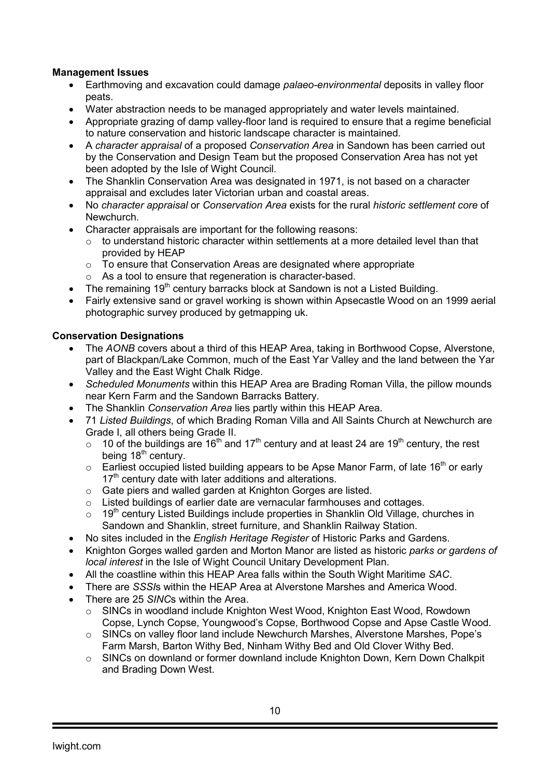## **Management Issues**

- Earthmoving and excavation could damage *palaeo-environmental* deposits in valley floor peats.
- Water abstraction needs to be managed appropriately and water levels maintained.
- Appropriate grazing of damp valley-floor land is required to ensure that a regime beneficial to nature conservation and historic landscape character is maintained.
- A *character appraisal* of a proposed *Conservation Area* in Sandown has been carried out by the Conservation and Design Team but the proposed Conservation Area has not yet been adopted by the Isle of Wight Council.
- The Shanklin Conservation Area was designated in 1971, is not based on a character appraisal and excludes later Victorian urban and coastal areas.
- No *character appraisal* or *Conservation Area* exists for the rural *historic settlement core* of Newchurch.
- Character appraisals are important for the following reasons:
	- $\circ$  to understand historic character within settlements at a more detailed level than that provided by HEAP
	- o To ensure that Conservation Areas are designated where appropriate
	- o As a tool to ensure that regeneration is character-based.
- The remaining  $19<sup>th</sup>$  century barracks block at Sandown is not a Listed Building.
- Fairly extensive sand or gravel working is shown within Apsecastle Wood on an 1999 aerial photographic survey produced by getmapping uk.

## **Conservation Designations**

- The *AONB* covers about a third of this HEAP Area, taking in Borthwood Copse, Alverstone, part of Blackpan/Lake Common, much of the East Yar Valley and the land between the Yar Valley and the East Wight Chalk Ridge.
- *Scheduled Monuments* within this HEAP Area are Brading Roman Villa, the pillow mounds near Kern Farm and the Sandown Barracks Battery.
- The Shanklin *Conservation Area* lies partly within this HEAP Area.
- 71 *Listed Buildings*, of which Brading Roman Villa and All Saints Church at Newchurch are Grade I, all others being Grade II.
	- $\circ$  10 of the buildings are 16<sup>th</sup> and 17<sup>th</sup> century and at least 24 are 19<sup>th</sup> century, the rest being 18<sup>th</sup> century.
	- $\circ$  Earliest occupied listed building appears to be Apse Manor Farm, of late 16<sup>th</sup> or early 17<sup>th</sup> century date with later additions and alterations.
	- o Gate piers and walled garden at Knighton Gorges are listed.
	- o Listed buildings of earlier date are vernacular farmhouses and cottages.
	- $\circ$  19<sup>th</sup> century Listed Buildings include properties in Shanklin Old Village, churches in Sandown and Shanklin, street furniture, and Shanklin Railway Station.
- No sites included in the *English Heritage Register* of Historic Parks and Gardens.
- Knighton Gorges walled garden and Morton Manor are listed as historic *parks or gardens of local interest* in the Isle of Wight Council Unitary Development Plan.
- All the coastline within this HEAP Area falls within the South Wight Maritime *SAC*.
- There are *SSSI*s within the HEAP Area at Alverstone Marshes and America Wood.
- There are 25 *SINC*s within the Area.
	- o SINCs in woodland include Knighton West Wood, Knighton East Wood, Rowdown Copse, Lynch Copse, Youngwood's Copse, Borthwood Copse and Apse Castle Wood.
	- o SINCs on valley floor land include Newchurch Marshes, Alverstone Marshes, Pope's Farm Marsh, Barton Withy Bed, Ninham Withy Bed and Old Clover Withy Bed.
	- $\circ$  SINCs on downland or former downland include Knighton Down, Kern Down Chalkpit and Brading Down West.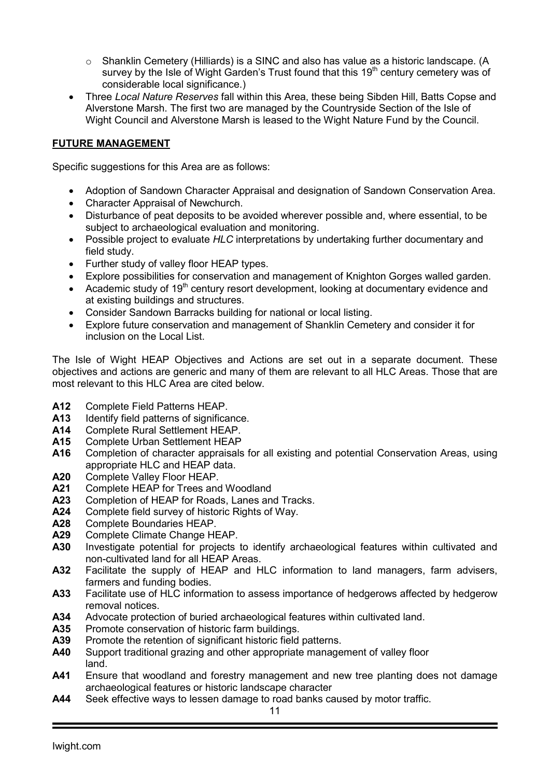- $\circ$  Shanklin Cemetery (Hilliards) is a SINC and also has value as a historic landscape. (A survey by the Isle of Wight Garden's Trust found that this 19<sup>th</sup> century cemetery was of considerable local significance.)
- Three *Local Nature Reserves* fall within this Area, these being Sibden Hill, Batts Copse and Alverstone Marsh. The first two are managed by the Countryside Section of the Isle of Wight Council and Alverstone Marsh is leased to the Wight Nature Fund by the Council.

# **FUTURE MANAGEMENT**

Specific suggestions for this Area are as follows:

- Adoption of Sandown Character Appraisal and designation of Sandown Conservation Area.
- Character Appraisal of Newchurch.
- Disturbance of peat deposits to be avoided wherever possible and, where essential, to be subject to archaeological evaluation and monitoring.
- Possible project to evaluate *HLC* interpretations by undertaking further documentary and field study.
- Further study of valley floor HEAP types.
- Explore possibilities for conservation and management of Knighton Gorges walled garden.
- Academic study of 19<sup>th</sup> century resort development, looking at documentary evidence and at existing buildings and structures.
- Consider Sandown Barracks building for national or local listing.
- Explore future conservation and management of Shanklin Cemetery and consider it for inclusion on the Local List.

The Isle of Wight HEAP Objectives and Actions are set out in a separate document. These objectives and actions are generic and many of them are relevant to all HLC Areas. Those that are most relevant to this HLC Area are cited below.

- **A12** Complete Field Patterns HEAP.
- A13 Identify field patterns of significance.<br>**A14** Complete Rural Settlement HEAP.
- **A14** Complete Rural Settlement HEAP.
- **A15** Complete Urban Settlement HEAP
- **A16** Completion of character appraisals for all existing and potential Conservation Areas, using appropriate HLC and HEAP data.
- **A20** Complete Valley Floor HEAP.
- **A21** Complete HEAP for Trees and Woodland<br>**A23** Completion of HEAP for Roads. Lanes an
- A23 Completion of HEAP for Roads, Lanes and Tracks.<br>**A24** Complete field survey of historic Rights of Way.
- **A24** Complete field survey of historic Rights of Way.
- **A28** Complete Boundaries HEAP.
- **A29** Complete Climate Change HEAP.
- **A30** Investigate potential for projects to identify archaeological features within cultivated and non-cultivated land for all HEAP Areas.
- **A32** Facilitate the supply of HEAP and HLC information to land managers, farm advisers, farmers and funding bodies.
- **A33** Facilitate use of HLC information to assess importance of hedgerows affected by hedgerow removal notices.
- **A34** Advocate protection of buried archaeological features within cultivated land.
- **A35** Promote conservation of historic farm buildings.
- **A39** Promote the retention of significant historic field patterns.
- **A40** Support traditional grazing and other appropriate management of valley floor land.
- **A41** Ensure that woodland and forestry management and new tree planting does not damage archaeological features or historic landscape character
- **A44** Seek effective ways to lessen damage to road banks caused by motor traffic.